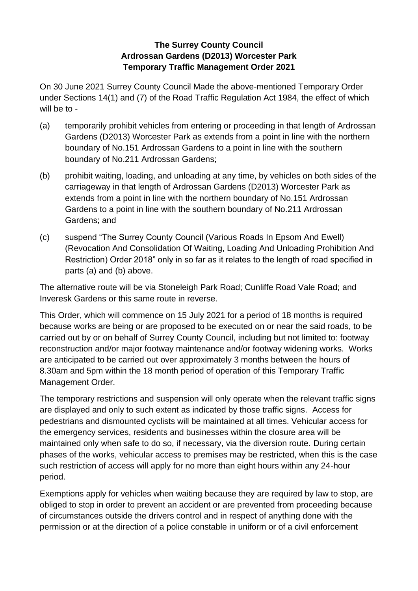## **The Surrey County Council Ardrossan Gardens (D2013) Worcester Park Temporary Traffic Management Order 2021**

On 30 June 2021 Surrey County Council Made the above-mentioned Temporary Order under Sections 14(1) and (7) of the Road Traffic Regulation Act 1984, the effect of which will be to -

- (a) temporarily prohibit vehicles from entering or proceeding in that length of Ardrossan Gardens (D2013) Worcester Park as extends from a point in line with the northern boundary of No.151 Ardrossan Gardens to a point in line with the southern boundary of No.211 Ardrossan Gardens;
- (b) prohibit waiting, loading, and unloading at any time, by vehicles on both sides of the carriageway in that length of Ardrossan Gardens (D2013) Worcester Park as extends from a point in line with the northern boundary of No.151 Ardrossan Gardens to a point in line with the southern boundary of No.211 Ardrossan Gardens; and
- (c) suspend "The Surrey County Council (Various Roads In Epsom And Ewell) (Revocation And Consolidation Of Waiting, Loading And Unloading Prohibition And Restriction) Order 2018" only in so far as it relates to the length of road specified in parts (a) and (b) above.

The alternative route will be via Stoneleigh Park Road; Cunliffe Road Vale Road; and Inveresk Gardens or this same route in reverse.

This Order, which will commence on 15 July 2021 for a period of 18 months is required because works are being or are proposed to be executed on or near the said roads, to be carried out by or on behalf of Surrey County Council, including but not limited to: footway reconstruction and/or major footway maintenance and/or footway widening works. Works are anticipated to be carried out over approximately 3 months between the hours of 8.30am and 5pm within the 18 month period of operation of this Temporary Traffic Management Order.

The temporary restrictions and suspension will only operate when the relevant traffic signs are displayed and only to such extent as indicated by those traffic signs. Access for pedestrians and dismounted cyclists will be maintained at all times. Vehicular access for the emergency services, residents and businesses within the closure area will be maintained only when safe to do so, if necessary, via the diversion route. During certain phases of the works, vehicular access to premises may be restricted, when this is the case such restriction of access will apply for no more than eight hours within any 24-hour period.

Exemptions apply for vehicles when waiting because they are required by law to stop, are obliged to stop in order to prevent an accident or are prevented from proceeding because of circumstances outside the drivers control and in respect of anything done with the permission or at the direction of a police constable in uniform or of a civil enforcement